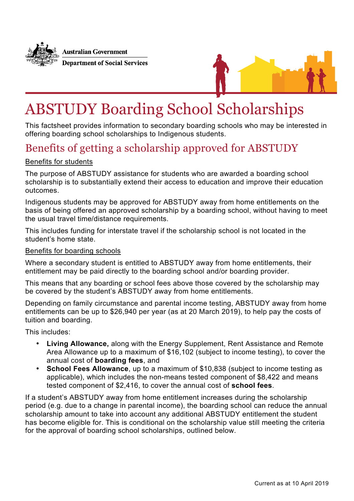



# ABSTUDY Boarding School Scholarships

This factsheet provides information to secondary boarding schools who may be interested in offering boarding school scholarships to Indigenous students.

## Benefits of getting a scholarship approved for ABSTUDY

#### Benefits for students

The purpose of ABSTUDY assistance for students who are awarded a boarding school scholarship is to substantially extend their access to education and improve their education outcomes.

Indigenous students may be approved for ABSTUDY away from home entitlements on the basis of being offered an approved scholarship by a boarding school, without having to meet the usual travel time/distance requirements.

This includes funding for interstate travel if the scholarship school is not located in the student's home state.

#### Benefits for boarding schools

Where a secondary student is entitled to ABSTUDY away from home entitlements, their entitlement may be paid directly to the boarding school and/or boarding provider.

This means that any boarding or school fees above those covered by the scholarship may be covered by the student's ABSTUDY away from home entitlements.

Depending on family circumstance and parental income testing, ABSTUDY away from home entitlements can be up to \$26,940 per year (as at 20 March 2019), to help pay the costs of tuition and boarding.

This includes:

- **Living Allowance,** along with the Energy Supplement, Rent Assistance and Remote Area Allowance up to a maximum of \$16,102 (subject to income testing), to cover the annual cost of **boarding fees**, and
- **School Fees Allowance**, up to a maximum of \$10,838 (subject to income testing as applicable), which includes the non-means tested component of \$8,422 and means tested component of \$2,416, to cover the annual cost of **school fees**.

If a student's ABSTUDY away from home entitlement increases during the scholarship period (e.g. due to a change in parental income), the boarding school can reduce the annual scholarship amount to take into account any additional ABSTUDY entitlement the student has become eligible for. This is conditional on the scholarship value still meeting the criteria for the approval of boarding school scholarships, outlined below.